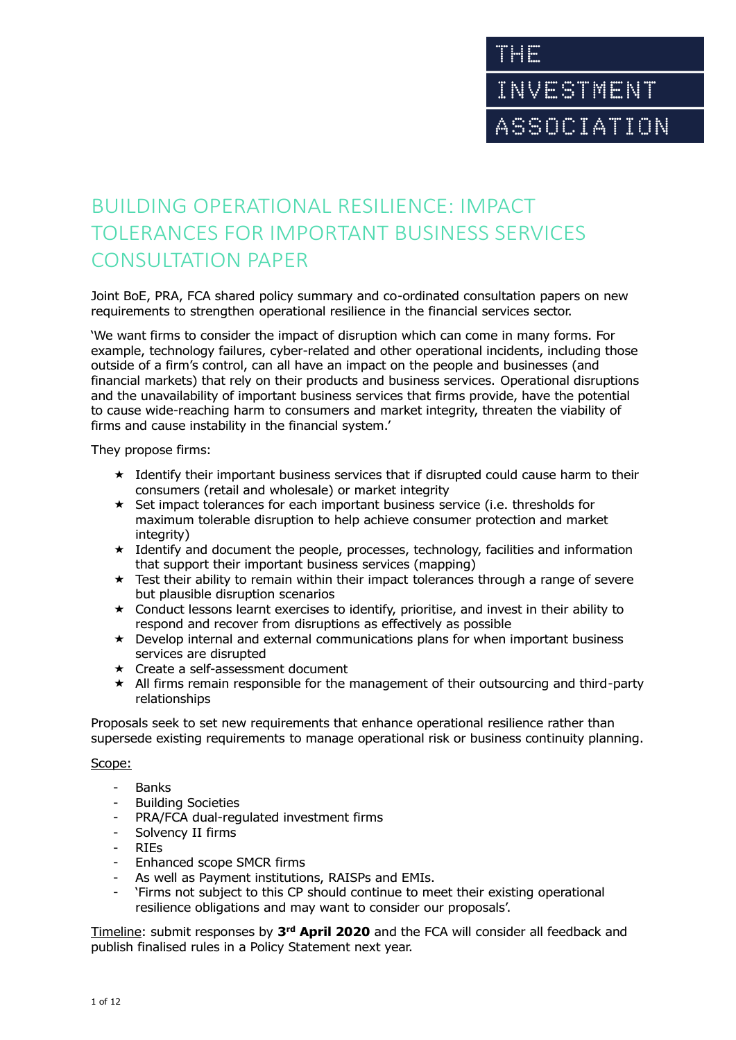# BUILDING OPERATIONAL RESILIENCE: IMPACT TOLERANCES FOR IMPORTANT BUSINESS SERVICES CONSULTATION PAPER

Joint BoE, PRA, FCA shared policy summary and co-ordinated consultation papers on new requirements to strengthen operational resilience in the financial services sector.

'We want firms to consider the impact of disruption which can come in many forms. For example, technology failures, cyber-related and other operational incidents, including those outside of a firm's control, can all have an impact on the people and businesses (and financial markets) that rely on their products and business services. Operational disruptions and the unavailability of important business services that firms provide, have the potential to cause wide-reaching harm to consumers and market integrity, threaten the viability of firms and cause instability in the financial system.'

They propose firms:

- $\star$  Identify their important business services that if disrupted could cause harm to their consumers (retail and wholesale) or market integrity
- $\star$  Set impact tolerances for each important business service (i.e. thresholds for maximum tolerable disruption to help achieve consumer protection and market integrity)
- $\star$  Identify and document the people, processes, technology, facilities and information that support their important business services (mapping)
- $\star$  Test their ability to remain within their impact tolerances through a range of severe but plausible disruption scenarios
- $\star$  Conduct lessons learnt exercises to identify, prioritise, and invest in their ability to respond and recover from disruptions as effectively as possible
- $\star$  Develop internal and external communications plans for when important business services are disrupted
- Create a self-assessment document
- $\star$  All firms remain responsible for the management of their outsourcing and third-party relationships

Proposals seek to set new requirements that enhance operational resilience rather than supersede existing requirements to manage operational risk or business continuity planning.

### Scope:

- Banks
- **Building Societies**
- PRA/FCA dual-regulated investment firms
- Solvency II firms
- RIEs
- Enhanced scope SMCR firms
- As well as Payment institutions, RAISPs and EMIs.
- 'Firms not subject to this CP should continue to meet their existing operational resilience obligations and may want to consider our proposals'.

Timeline: submit responses by 3<sup>rd</sup> April 2020 and the FCA will consider all feedback and publish finalised rules in a Policy Statement next year.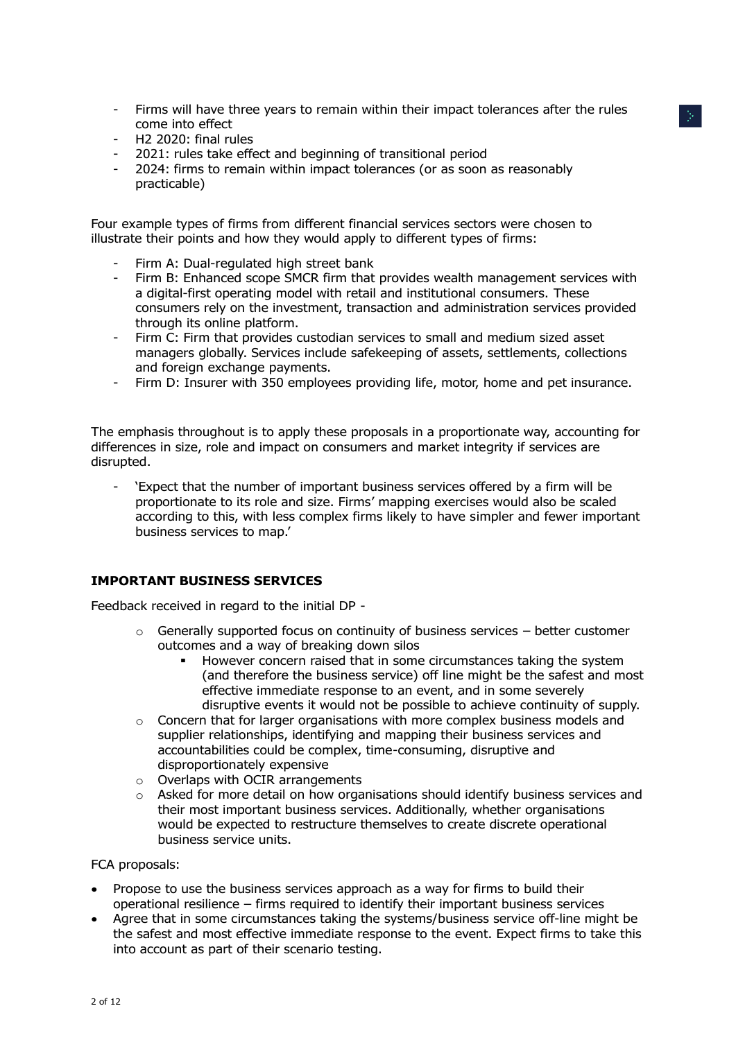- Firms will have three years to remain within their impact tolerances after the rules come into effect
- H2 2020: final rules
- 2021: rules take effect and beginning of transitional period
- 2024: firms to remain within impact tolerances (or as soon as reasonably practicable)

Four example types of firms from different financial services sectors were chosen to illustrate their points and how they would apply to different types of firms:

- Firm A: Dual-regulated high street bank
- Firm B: Enhanced scope SMCR firm that provides wealth management services with a digital-first operating model with retail and institutional consumers. These consumers rely on the investment, transaction and administration services provided through its online platform.
- Firm C: Firm that provides custodian services to small and medium sized asset managers globally. Services include safekeeping of assets, settlements, collections and foreign exchange payments.
- Firm D: Insurer with 350 employees providing life, motor, home and pet insurance.

The emphasis throughout is to apply these proposals in a proportionate way, accounting for differences in size, role and impact on consumers and market integrity if services are disrupted.

- 'Expect that the number of important business services offered by a firm will be proportionate to its role and size. Firms' mapping exercises would also be scaled according to this, with less complex firms likely to have simpler and fewer important business services to map.'

### **IMPORTANT BUSINESS SERVICES**

Feedback received in regard to the initial DP -

- $\circ$  Generally supported focus on continuity of business services better customer outcomes and a way of breaking down silos
	- However concern raised that in some circumstances taking the system (and therefore the business service) off line might be the safest and most effective immediate response to an event, and in some severely disruptive events it would not be possible to achieve continuity of supply.
- o Concern that for larger organisations with more complex business models and supplier relationships, identifying and mapping their business services and accountabilities could be complex, time-consuming, disruptive and disproportionately expensive
- o Overlaps with OCIR arrangements
- $\circ$  Asked for more detail on how organisations should identify business services and their most important business services. Additionally, whether organisations would be expected to restructure themselves to create discrete operational business service units.

#### FCA proposals:

- Propose to use the business services approach as a way for firms to build their operational resilience – firms required to identify their important business services
- Agree that in some circumstances taking the systems/business service off-line might be the safest and most effective immediate response to the event. Expect firms to take this into account as part of their scenario testing.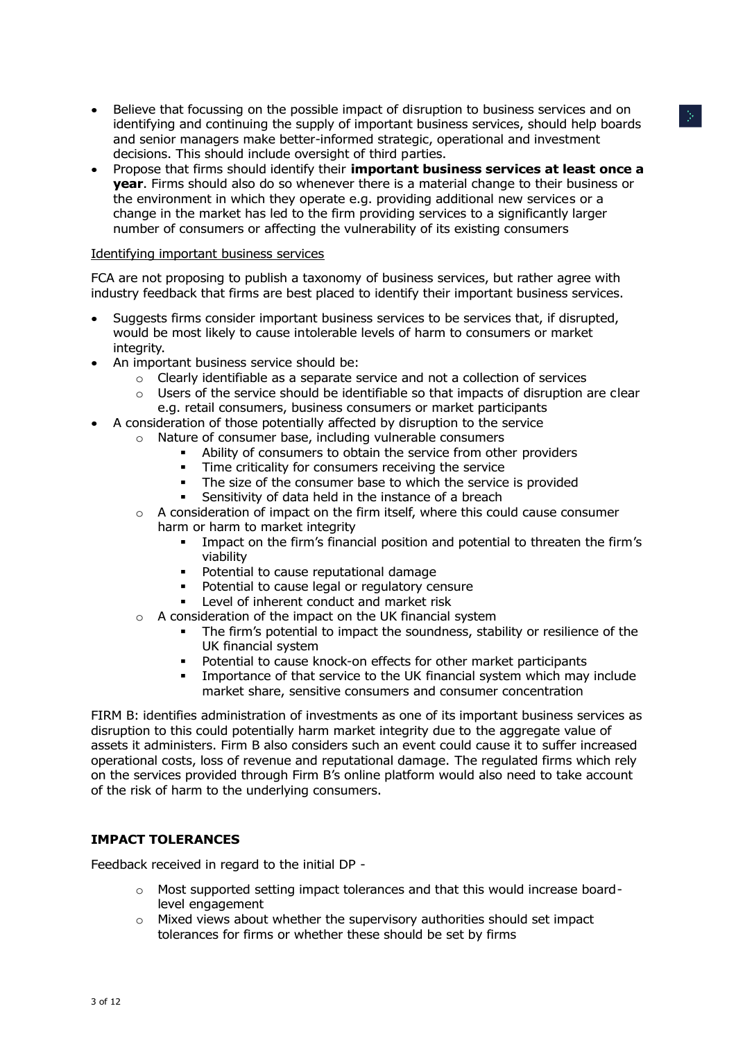- Believe that focussing on the possible impact of disruption to business services and on identifying and continuing the supply of important business services, should help boards and senior managers make better-informed strategic, operational and investment decisions. This should include oversight of third parties.
- Propose that firms should identify their **important business services at least once a year**. Firms should also do so whenever there is a material change to their business or the environment in which they operate e.g. providing additional new services or a change in the market has led to the firm providing services to a significantly larger number of consumers or affecting the vulnerability of its existing consumers

#### Identifying important business services

FCA are not proposing to publish a taxonomy of business services, but rather agree with industry feedback that firms are best placed to identify their important business services.

- Suggests firms consider important business services to be services that, if disrupted, would be most likely to cause intolerable levels of harm to consumers or market integrity.
- An important business service should be:
	- $\circ$  Clearly identifiable as a separate service and not a collection of services
	- $\circ$  Users of the service should be identifiable so that impacts of disruption are clear e.g. retail consumers, business consumers or market participants
- A consideration of those potentially affected by disruption to the service
	- Nature of consumer base, including vulnerable consumers
		- Ability of consumers to obtain the service from other providers
		- Time criticality for consumers receiving the service
		- The size of the consumer base to which the service is provided
		- Sensitivity of data held in the instance of a breach
	- $\circ$  A consideration of impact on the firm itself, where this could cause consumer harm or harm to market integrity
		- Impact on the firm's financial position and potential to threaten the firm's viability
		- **•** Potential to cause reputational damage
		- Potential to cause legal or regulatory censure
		- Level of inherent conduct and market risk
	- $\circ$  A consideration of the impact on the UK financial system
		- The firm's potential to impact the soundness, stability or resilience of the UK financial system
		- Potential to cause knock-on effects for other market participants
		- Importance of that service to the UK financial system which may include market share, sensitive consumers and consumer concentration

FIRM B: identifies administration of investments as one of its important business services as disruption to this could potentially harm market integrity due to the aggregate value of assets it administers. Firm B also considers such an event could cause it to suffer increased operational costs, loss of revenue and reputational damage. The regulated firms which rely on the services provided through Firm B's online platform would also need to take account of the risk of harm to the underlying consumers.

### **IMPACT TOLERANCES**

Feedback received in regard to the initial DP -

- $\circ$  Most supported setting impact tolerances and that this would increase boardlevel engagement
- $\circ$  Mixed views about whether the supervisory authorities should set impact tolerances for firms or whether these should be set by firms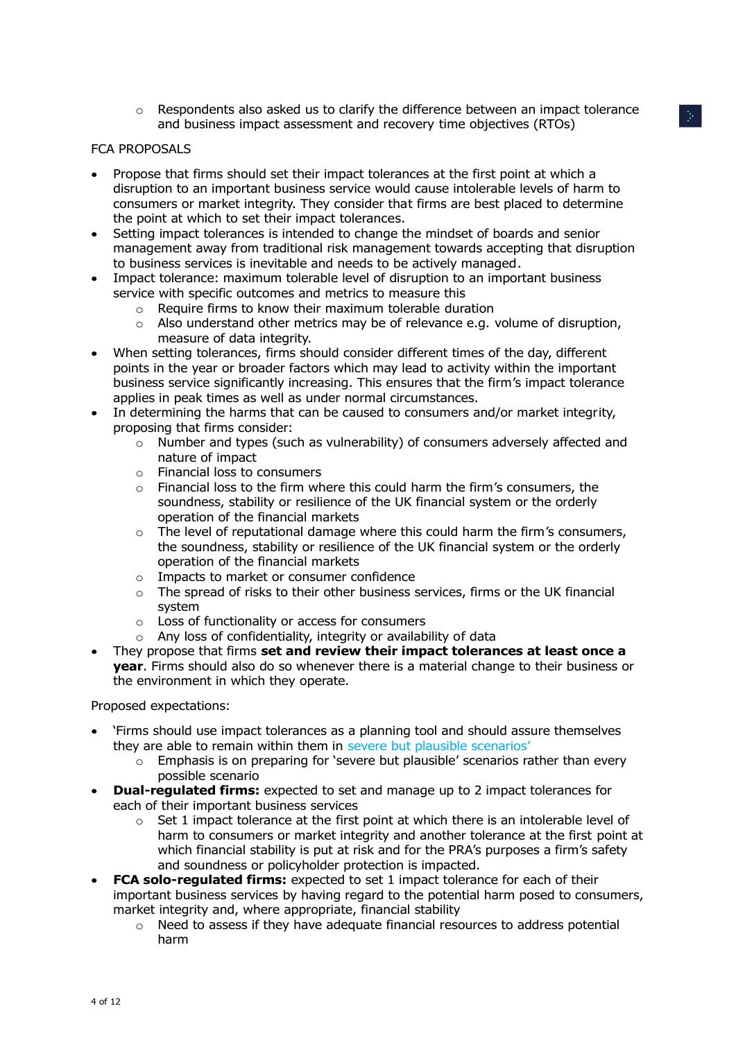$\circ$  Respondents also asked us to clarify the difference between an impact tolerance and business impact assessment and recovery time objectives (RTOs)

## FCA PROPOSALS

- Propose that firms should set their impact tolerances at the first point at which a disruption to an important business service would cause intolerable levels of harm to consumers or market integrity. They consider that firms are best placed to determine the point at which to set their impact tolerances.
- Setting impact tolerances is intended to change the mindset of boards and senior management away from traditional risk management towards accepting that disruption to business services is inevitable and needs to be actively managed.
- Impact tolerance: maximum tolerable level of disruption to an important business service with specific outcomes and metrics to measure this
	- $\circ$  Require firms to know their maximum tolerable duration
	- $\circ$  Also understand other metrics may be of relevance e.g. volume of disruption, measure of data integrity.
- When setting tolerances, firms should consider different times of the day, different points in the year or broader factors which may lead to activity within the important business service significantly increasing. This ensures that the firm's impact tolerance applies in peak times as well as under normal circumstances.
- In determining the harms that can be caused to consumers and/or market integrity, proposing that firms consider:
	- o Number and types (such as vulnerability) of consumers adversely affected and nature of impact
	- o Financial loss to consumers
	- $\circ$  Financial loss to the firm where this could harm the firm's consumers, the soundness, stability or resilience of the UK financial system or the orderly operation of the financial markets
	- $\circ$  The level of reputational damage where this could harm the firm's consumers, the soundness, stability or resilience of the UK financial system or the orderly operation of the financial markets
	- o Impacts to market or consumer confidence
	- $\circ$  The spread of risks to their other business services, firms or the UK financial system
	- o Loss of functionality or access for consumers
	- $\circ$  Any loss of confidentiality, integrity or availability of data
- They propose that firms **set and review their impact tolerances at least once a year**. Firms should also do so whenever there is a material change to their business or the environment in which they operate.

Proposed expectations:

- 'Firms should use impact tolerances as a planning tool and should assure themselves they are able to remain within them in severe but plausible scenarios'
	- $\circ$  Emphasis is on preparing for 'severe but plausible' scenarios rather than every possible scenario
- **Dual-regulated firms:** expected to set and manage up to 2 impact tolerances for each of their important business services
	- $\circ$  Set 1 impact tolerance at the first point at which there is an intolerable level of harm to consumers or market integrity and another tolerance at the first point at which financial stability is put at risk and for the PRA's purposes a firm's safety and soundness or policyholder protection is impacted.
- **FCA solo-regulated firms:** expected to set 1 impact tolerance for each of their important business services by having regard to the potential harm posed to consumers, market integrity and, where appropriate, financial stability
	- $\circ$  Need to assess if they have adequate financial resources to address potential harm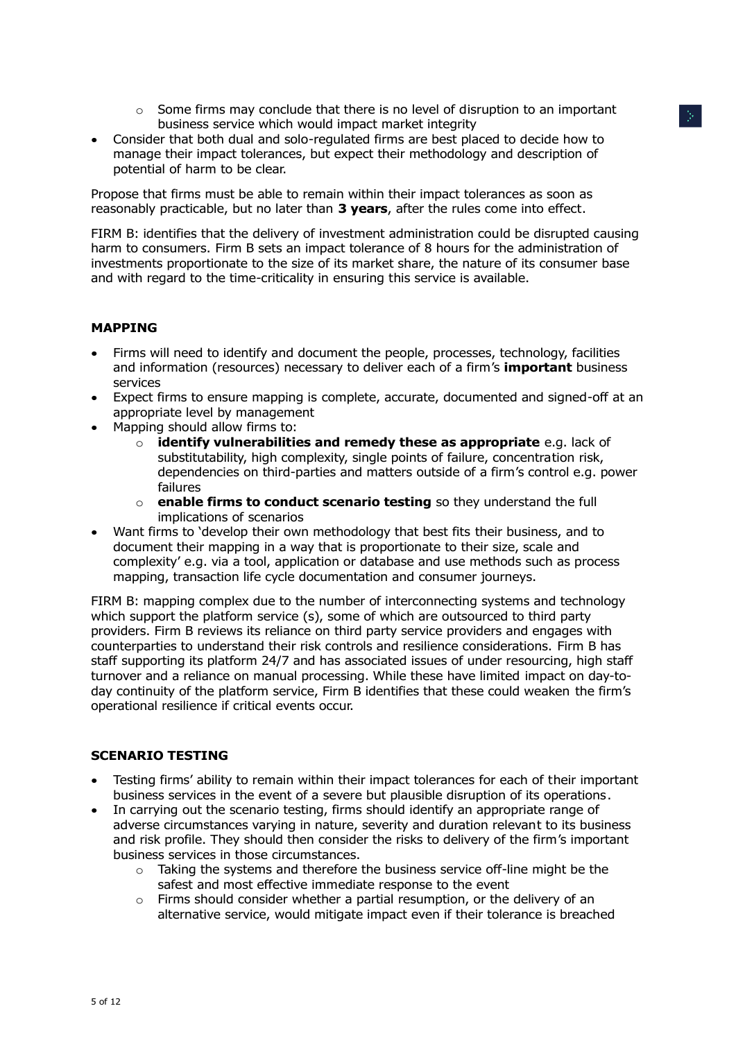- $\circ$  Some firms may conclude that there is no level of disruption to an important business service which would impact market integrity
- Consider that both dual and solo-regulated firms are best placed to decide how to manage their impact tolerances, but expect their methodology and description of potential of harm to be clear.

Propose that firms must be able to remain within their impact tolerances as soon as reasonably practicable, but no later than **3 years**, after the rules come into effect.

FIRM B: identifies that the delivery of investment administration could be disrupted causing harm to consumers. Firm B sets an impact tolerance of 8 hours for the administration of investments proportionate to the size of its market share, the nature of its consumer base and with regard to the time-criticality in ensuring this service is available.

## **MAPPING**

- Firms will need to identify and document the people, processes, technology, facilities and information (resources) necessary to deliver each of a firm's **important** business services
- Expect firms to ensure mapping is complete, accurate, documented and signed-off at an appropriate level by management
- $\bullet$  Mapping should allow firms to:
	- o **identify vulnerabilities and remedy these as appropriate** e.g. lack of substitutability, high complexity, single points of failure, concentration risk, dependencies on third-parties and matters outside of a firm's control e.g. power failures
	- o **enable firms to conduct scenario testing** so they understand the full implications of scenarios
- Want firms to 'develop their own methodology that best fits their business, and to document their mapping in a way that is proportionate to their size, scale and complexity' e.g. via a tool, application or database and use methods such as process mapping, transaction life cycle documentation and consumer journeys.

FIRM B: mapping complex due to the number of interconnecting systems and technology which support the platform service (s), some of which are outsourced to third party providers. Firm B reviews its reliance on third party service providers and engages with counterparties to understand their risk controls and resilience considerations. Firm B has staff supporting its platform 24/7 and has associated issues of under resourcing, high staff turnover and a reliance on manual processing. While these have limited impact on day-today continuity of the platform service, Firm B identifies that these could weaken the firm's operational resilience if critical events occur.

### **SCENARIO TESTING**

- Testing firms' ability to remain within their impact tolerances for each of their important business services in the event of a severe but plausible disruption of its operations.
- In carrying out the scenario testing, firms should identify an appropriate range of adverse circumstances varying in nature, severity and duration relevant to its business and risk profile. They should then consider the risks to delivery of the firm's important business services in those circumstances.
	- Taking the systems and therefore the business service off-line might be the safest and most effective immediate response to the event
	- o Firms should consider whether a partial resumption, or the delivery of an alternative service, would mitigate impact even if their tolerance is breached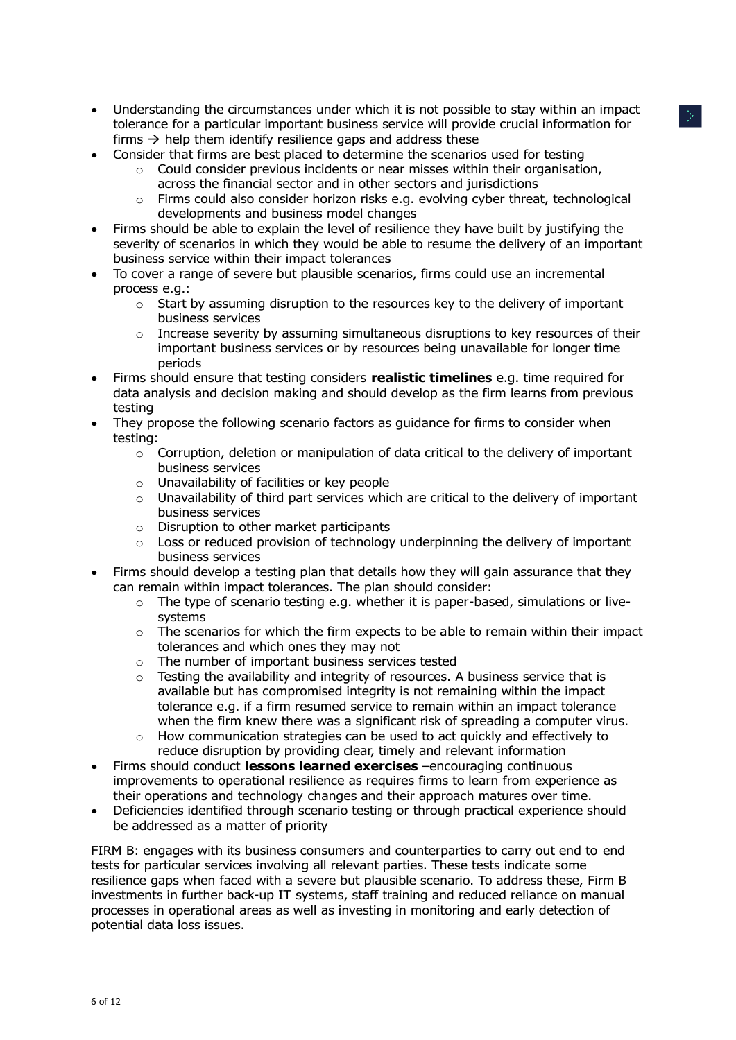- Understanding the circumstances under which it is not possible to stay within an impact tolerance for a particular important business service will provide crucial information for firms  $\rightarrow$  help them identify resilience gaps and address these
- Consider that firms are best placed to determine the scenarios used for testing
	- $\circ$  Could consider previous incidents or near misses within their organisation, across the financial sector and in other sectors and jurisdictions
	- o Firms could also consider horizon risks e.g. evolving cyber threat, technological developments and business model changes
- Firms should be able to explain the level of resilience they have built by justifying the severity of scenarios in which they would be able to resume the delivery of an important business service within their impact tolerances
- To cover a range of severe but plausible scenarios, firms could use an incremental process e.g.:
	- o Start by assuming disruption to the resources key to the delivery of important business services
	- $\circ$  Increase severity by assuming simultaneous disruptions to key resources of their important business services or by resources being unavailable for longer time periods
- Firms should ensure that testing considers **realistic timelines** e.g. time required for data analysis and decision making and should develop as the firm learns from previous testing
- They propose the following scenario factors as guidance for firms to consider when testing:
	- $\circ$  Corruption, deletion or manipulation of data critical to the delivery of important business services
	- o Unavailability of facilities or key people
	- o Unavailability of third part services which are critical to the delivery of important business services
	- $\circ$  Disruption to other market participants
	- $\circ$  Loss or reduced provision of technology underpinning the delivery of important business services
- Firms should develop a testing plan that details how they will gain assurance that they can remain within impact tolerances. The plan should consider:
	- $\circ$  The type of scenario testing e.g. whether it is paper-based, simulations or livesystems
	- $\circ$  The scenarios for which the firm expects to be able to remain within their impact tolerances and which ones they may not
	- The number of important business services tested
	- $\circ$  Testing the availability and integrity of resources. A business service that is available but has compromised integrity is not remaining within the impact tolerance e.g. if a firm resumed service to remain within an impact tolerance when the firm knew there was a significant risk of spreading a computer virus.
	- o How communication strategies can be used to act quickly and effectively to reduce disruption by providing clear, timely and relevant information
- Firms should conduct **lessons learned exercises** –encouraging continuous improvements to operational resilience as requires firms to learn from experience as their operations and technology changes and their approach matures over time.
- Deficiencies identified through scenario testing or through practical experience should be addressed as a matter of priority

FIRM B: engages with its business consumers and counterparties to carry out end to end tests for particular services involving all relevant parties. These tests indicate some resilience gaps when faced with a severe but plausible scenario. To address these, Firm B investments in further back-up IT systems, staff training and reduced reliance on manual processes in operational areas as well as investing in monitoring and early detection of potential data loss issues.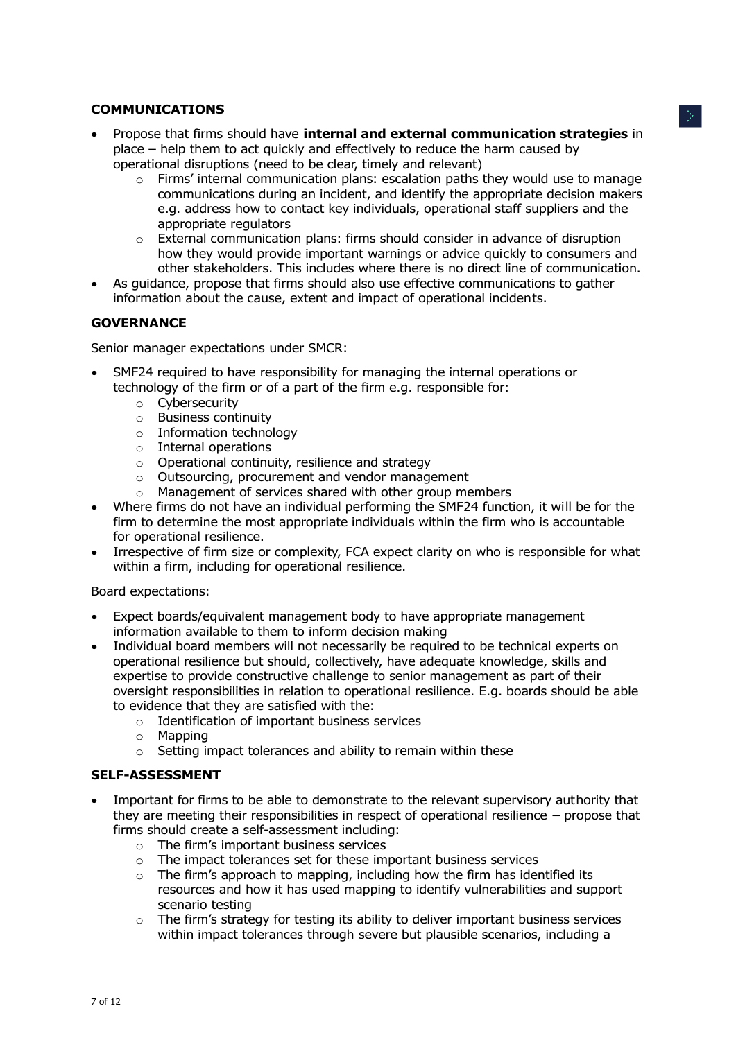## **COMMUNICATIONS**

- Propose that firms should have **internal and external communication strategies** in place – help them to act quickly and effectively to reduce the harm caused by operational disruptions (need to be clear, timely and relevant)
	- $\circ$  Firms' internal communication plans: escalation paths they would use to manage communications during an incident, and identify the appropriate decision makers e.g. address how to contact key individuals, operational staff suppliers and the appropriate regulators
	- $\circ$  External communication plans: firms should consider in advance of disruption how they would provide important warnings or advice quickly to consumers and other stakeholders. This includes where there is no direct line of communication.
- As guidance, propose that firms should also use effective communications to gather information about the cause, extent and impact of operational incidents.

# **GOVERNANCE**

Senior manager expectations under SMCR:

- SMF24 required to have responsibility for managing the internal operations or technology of the firm or of a part of the firm e.g. responsible for:
	- o Cybersecurity
	- o Business continuity
	- o Information technology
	- o Internal operations
	- $\circ$  Operational continuity, resilience and strategy
	- o Outsourcing, procurement and vendor management
	- o Management of services shared with other group members
- Where firms do not have an individual performing the SMF24 function, it will be for the firm to determine the most appropriate individuals within the firm who is accountable for operational resilience.
- Irrespective of firm size or complexity, FCA expect clarity on who is responsible for what within a firm, including for operational resilience.

Board expectations:

- Expect boards/equivalent management body to have appropriate management information available to them to inform decision making
- Individual board members will not necessarily be required to be technical experts on operational resilience but should, collectively, have adequate knowledge, skills and expertise to provide constructive challenge to senior management as part of their oversight responsibilities in relation to operational resilience. E.g. boards should be able to evidence that they are satisfied with the:
	- o Identification of important business services
	- $\circ$  Mapping
	- $\circ$  Setting impact tolerances and ability to remain within these

## **SELF-ASSESSMENT**

- Important for firms to be able to demonstrate to the relevant supervisory authority that they are meeting their responsibilities in respect of operational resilience – propose that firms should create a self-assessment including:
	- o The firm's important business services
	- $\circ$  The impact tolerances set for these important business services
	- o The firm's approach to mapping, including how the firm has identified its resources and how it has used mapping to identify vulnerabilities and support scenario testing
	- $\circ$  The firm's strategy for testing its ability to deliver important business services within impact tolerances through severe but plausible scenarios, including a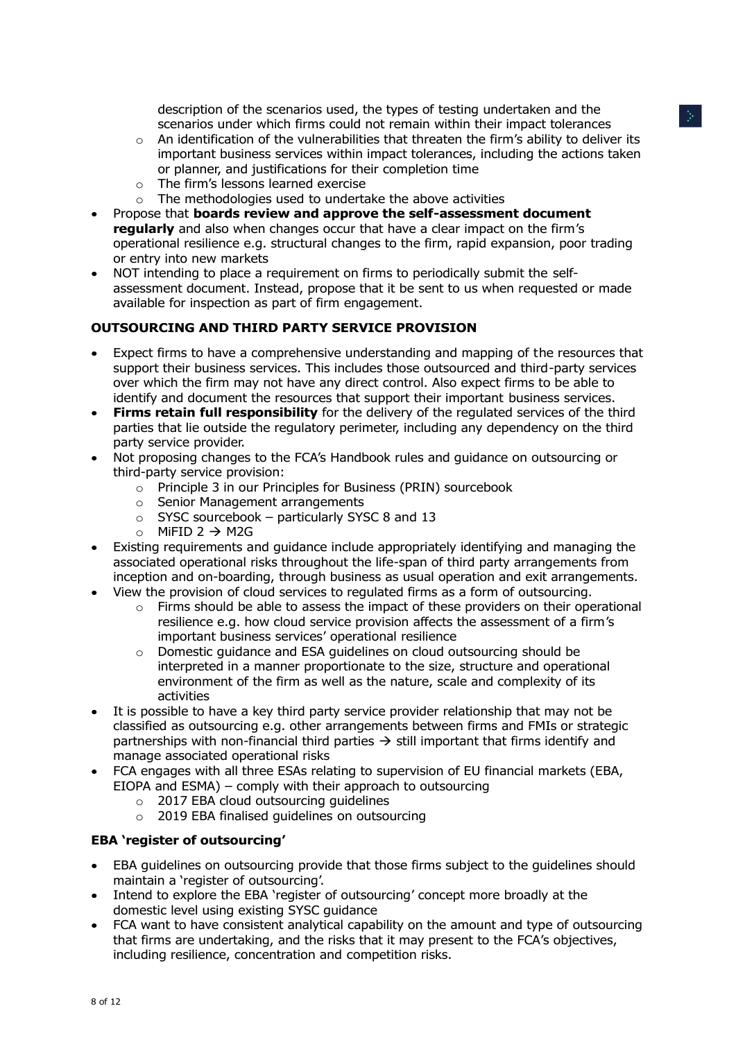description of the scenarios used, the types of testing undertaken and the scenarios under which firms could not remain within their impact tolerances

- $\circ$  An identification of the vulnerabilities that threaten the firm's ability to deliver its important business services within impact tolerances, including the actions taken or planner, and justifications for their completion time
- o The firm's lessons learned exercise
- $\circ$  The methodologies used to undertake the above activities
- Propose that **boards review and approve the self-assessment document regularly** and also when changes occur that have a clear impact on the firm's operational resilience e.g. structural changes to the firm, rapid expansion, poor trading or entry into new markets
- NOT intending to place a requirement on firms to periodically submit the selfassessment document. Instead, propose that it be sent to us when requested or made available for inspection as part of firm engagement.

# **OUTSOURCING AND THIRD PARTY SERVICE PROVISION**

- Expect firms to have a comprehensive understanding and mapping of the resources that support their business services. This includes those outsourced and third-party services over which the firm may not have any direct control. Also expect firms to be able to identify and document the resources that support their important business services.
- **Firms retain full responsibility** for the delivery of the regulated services of the third parties that lie outside the regulatory perimeter, including any dependency on the third party service provider.
- Not proposing changes to the FCA's Handbook rules and guidance on outsourcing or third-party service provision:
	- o Principle 3 in our Principles for Business (PRIN) sourcebook
	- o Senior Management arrangements
	- $\circ$  SYSC sourcebook particularly SYSC 8 and 13
	- o MiFID  $2 \rightarrow M2G$
- Existing requirements and guidance include appropriately identifying and managing the associated operational risks throughout the life-span of third party arrangements from inception and on-boarding, through business as usual operation and exit arrangements.
- View the provision of cloud services to regulated firms as a form of outsourcing.
	- Firms should be able to assess the impact of these providers on their operational resilience e.g. how cloud service provision affects the assessment of a firm's important business services' operational resilience
	- $\circ$  Domestic guidance and ESA guidelines on cloud outsourcing should be interpreted in a manner proportionate to the size, structure and operational environment of the firm as well as the nature, scale and complexity of its activities
- It is possible to have a key third party service provider relationship that may not be classified as outsourcing e.g. other arrangements between firms and FMIs or strategic partnerships with non-financial third parties  $\rightarrow$  still important that firms identify and manage associated operational risks
- FCA engages with all three ESAs relating to supervision of EU financial markets (EBA, EIOPA and ESMA) – comply with their approach to outsourcing
	- $\circ$  2017 EBA cloud outsourcing quidelines
	- o 2019 EBA finalised guidelines on outsourcing

## **EBA 'register of outsourcing'**

- EBA guidelines on outsourcing provide that those firms subject to the guidelines should maintain a 'register of outsourcing'.
- Intend to explore the EBA 'register of outsourcing' concept more broadly at the domestic level using existing SYSC guidance
- FCA want to have consistent analytical capability on the amount and type of outsourcing that firms are undertaking, and the risks that it may present to the FCA's objectives, including resilience, concentration and competition risks.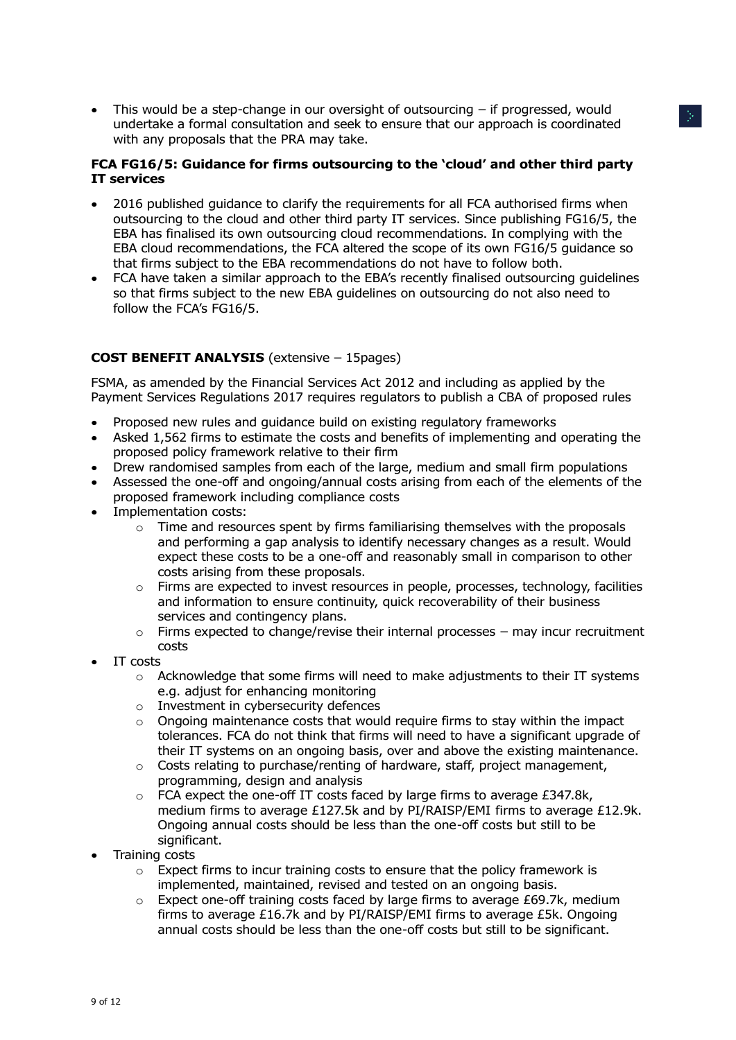$\bullet$  This would be a step-change in our oversight of outsourcing  $-$  if progressed, would undertake a formal consultation and seek to ensure that our approach is coordinated with any proposals that the PRA may take.

## **FCA FG16/5: Guidance for firms outsourcing to the 'cloud' and other third party IT services**

- 2016 published guidance to clarify the requirements for all FCA authorised firms when outsourcing to the cloud and other third party IT services. Since publishing FG16/5, the EBA has finalised its own outsourcing cloud recommendations. In complying with the EBA cloud recommendations, the FCA altered the scope of its own FG16/5 guidance so that firms subject to the EBA recommendations do not have to follow both.
- FCA have taken a similar approach to the EBA's recently finalised outsourcing guidelines so that firms subject to the new EBA guidelines on outsourcing do not also need to follow the FCA's FG16/5.

# **COST BENEFIT ANALYSIS** (extensive – 15pages)

FSMA, as amended by the Financial Services Act 2012 and including as applied by the Payment Services Regulations 2017 requires regulators to publish a CBA of proposed rules

- Proposed new rules and guidance build on existing regulatory frameworks
- Asked 1,562 firms to estimate the costs and benefits of implementing and operating the proposed policy framework relative to their firm
- Drew randomised samples from each of the large, medium and small firm populations
- Assessed the one-off and ongoing/annual costs arising from each of the elements of the proposed framework including compliance costs
- Implementation costs:
	- $\circ$  Time and resources spent by firms familiarising themselves with the proposals and performing a gap analysis to identify necessary changes as a result. Would expect these costs to be a one-off and reasonably small in comparison to other costs arising from these proposals.
	- $\circ$  Firms are expected to invest resources in people, processes, technology, facilities and information to ensure continuity, quick recoverability of their business services and contingency plans.
	- $\circ$  Firms expected to change/revise their internal processes may incur recruitment costs
- IT costs
	- $\circ$  Acknowledge that some firms will need to make adjustments to their IT systems e.g. adjust for enhancing monitoring
	- o Investment in cybersecurity defences
	- $\circ$  Ongoing maintenance costs that would require firms to stay within the impact tolerances. FCA do not think that firms will need to have a significant upgrade of their IT systems on an ongoing basis, over and above the existing maintenance.
	- $\circ$  Costs relating to purchase/renting of hardware, staff, project management, programming, design and analysis
	- $\circ$  FCA expect the one-off IT costs faced by large firms to average £347.8k, medium firms to average £127.5k and by PI/RAISP/EMI firms to average £12.9k. Ongoing annual costs should be less than the one-off costs but still to be significant.
- Training costs
	- $\circ$  Expect firms to incur training costs to ensure that the policy framework is implemented, maintained, revised and tested on an ongoing basis.
	- Expect one-off training costs faced by large firms to average  $£69.7k$ , medium firms to average £16.7k and by PI/RAISP/EMI firms to average £5k. Ongoing annual costs should be less than the one-off costs but still to be significant.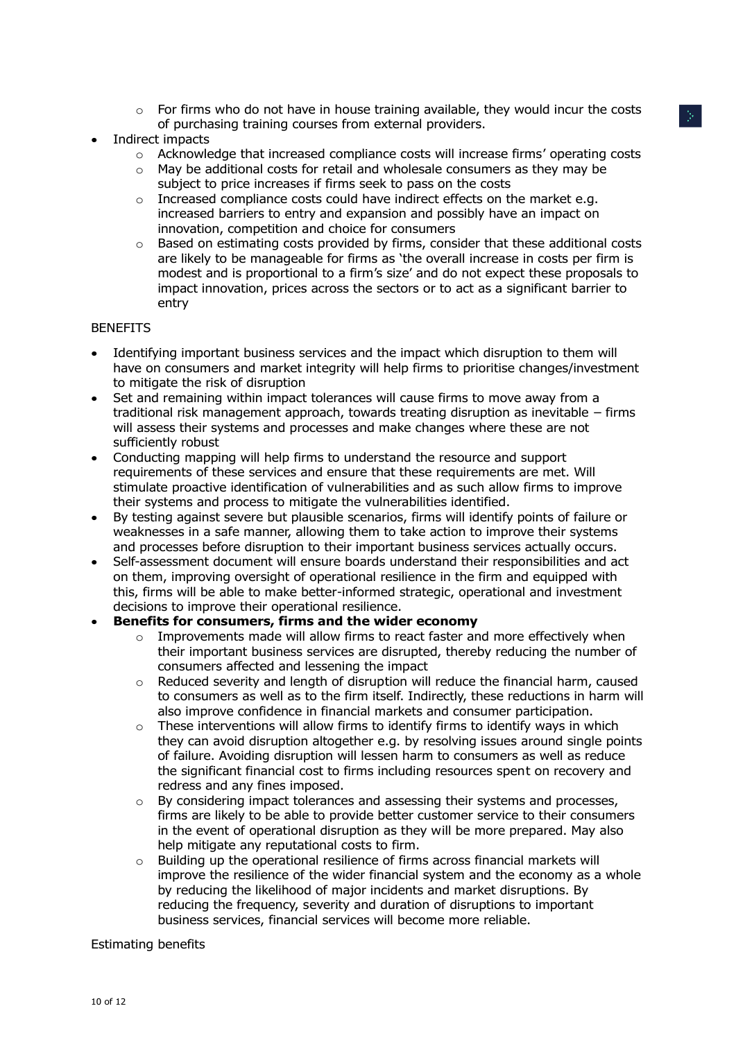- $\circ$  For firms who do not have in house training available, they would incur the costs of purchasing training courses from external providers.
- Indirect impacts
	- o Acknowledge that increased compliance costs will increase firms' operating costs
	- o May be additional costs for retail and wholesale consumers as they may be subject to price increases if firms seek to pass on the costs
	- o Increased compliance costs could have indirect effects on the market e.g. increased barriers to entry and expansion and possibly have an impact on innovation, competition and choice for consumers
	- o Based on estimating costs provided by firms, consider that these additional costs are likely to be manageable for firms as 'the overall increase in costs per firm is modest and is proportional to a firm's size' and do not expect these proposals to impact innovation, prices across the sectors or to act as a significant barrier to entry

#### BENEFITS

- Identifying important business services and the impact which disruption to them will have on consumers and market integrity will help firms to prioritise changes/investment to mitigate the risk of disruption
- Set and remaining within impact tolerances will cause firms to move away from a traditional risk management approach, towards treating disruption as inevitable – firms will assess their systems and processes and make changes where these are not sufficiently robust
- Conducting mapping will help firms to understand the resource and support requirements of these services and ensure that these requirements are met. Will stimulate proactive identification of vulnerabilities and as such allow firms to improve their systems and process to mitigate the vulnerabilities identified.
- By testing against severe but plausible scenarios, firms will identify points of failure or weaknesses in a safe manner, allowing them to take action to improve their systems and processes before disruption to their important business services actually occurs.
- Self-assessment document will ensure boards understand their responsibilities and act on them, improving oversight of operational resilience in the firm and equipped with this, firms will be able to make better-informed strategic, operational and investment decisions to improve their operational resilience.

## **Benefits for consumers, firms and the wider economy**

- $\circ$  Improvements made will allow firms to react faster and more effectively when their important business services are disrupted, thereby reducing the number of consumers affected and lessening the impact
- o Reduced severity and length of disruption will reduce the financial harm, caused to consumers as well as to the firm itself. Indirectly, these reductions in harm will also improve confidence in financial markets and consumer participation.
- $\circ$  These interventions will allow firms to identify firms to identify ways in which they can avoid disruption altogether e.g. by resolving issues around single points of failure. Avoiding disruption will lessen harm to consumers as well as reduce the significant financial cost to firms including resources spent on recovery and redress and any fines imposed.
- $\circ$  By considering impact tolerances and assessing their systems and processes, firms are likely to be able to provide better customer service to their consumers in the event of operational disruption as they will be more prepared. May also help mitigate any reputational costs to firm.
- $\circ$  Building up the operational resilience of firms across financial markets will improve the resilience of the wider financial system and the economy as a whole by reducing the likelihood of major incidents and market disruptions. By reducing the frequency, severity and duration of disruptions to important business services, financial services will become more reliable.

#### Estimating benefits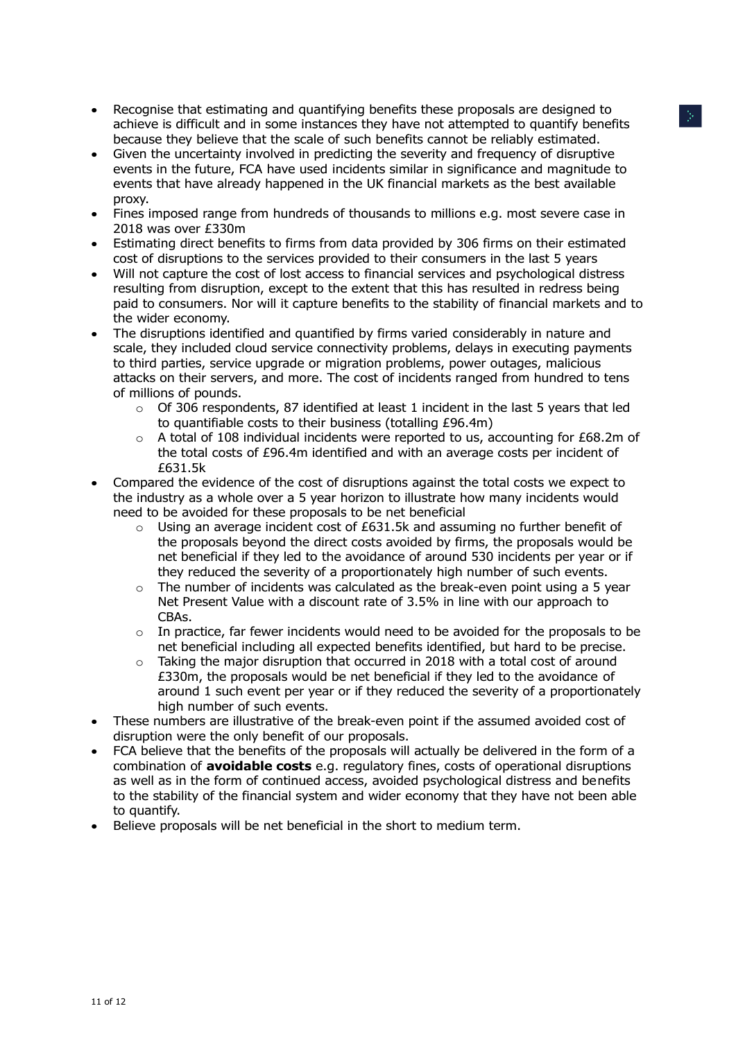- Recognise that estimating and quantifying benefits these proposals are designed to achieve is difficult and in some instances they have not attempted to quantify benefits because they believe that the scale of such benefits cannot be reliably estimated.
- Given the uncertainty involved in predicting the severity and frequency of disruptive events in the future, FCA have used incidents similar in significance and magnitude to events that have already happened in the UK financial markets as the best available proxy.
- Fines imposed range from hundreds of thousands to millions e.g. most severe case in 2018 was over £330m
- Estimating direct benefits to firms from data provided by 306 firms on their estimated cost of disruptions to the services provided to their consumers in the last 5 years
- Will not capture the cost of lost access to financial services and psychological distress resulting from disruption, except to the extent that this has resulted in redress being paid to consumers. Nor will it capture benefits to the stability of financial markets and to the wider economy.
- The disruptions identified and quantified by firms varied considerably in nature and scale, they included cloud service connectivity problems, delays in executing payments to third parties, service upgrade or migration problems, power outages, malicious attacks on their servers, and more. The cost of incidents ranged from hundred to tens of millions of pounds.
	- $\circ$  Of 306 respondents, 87 identified at least 1 incident in the last 5 years that led to quantifiable costs to their business (totalling £96.4m)
	- o A total of 108 individual incidents were reported to us, accounting for £68.2m of the total costs of £96.4m identified and with an average costs per incident of £631.5k
- Compared the evidence of the cost of disruptions against the total costs we expect to the industry as a whole over a 5 year horizon to illustrate how many incidents would need to be avoided for these proposals to be net beneficial
	- o Using an average incident cost of £631.5k and assuming no further benefit of the proposals beyond the direct costs avoided by firms, the proposals would be net beneficial if they led to the avoidance of around 530 incidents per year or if they reduced the severity of a proportionately high number of such events.
	- o The number of incidents was calculated as the break-even point using a 5 year Net Present Value with a discount rate of 3.5% in line with our approach to CBAs.
	- $\circ$  In practice, far fewer incidents would need to be avoided for the proposals to be net beneficial including all expected benefits identified, but hard to be precise.
	- $\circ$  Taking the major disruption that occurred in 2018 with a total cost of around £330m, the proposals would be net beneficial if they led to the avoidance of around 1 such event per year or if they reduced the severity of a proportionately high number of such events.
- These numbers are illustrative of the break-even point if the assumed avoided cost of disruption were the only benefit of our proposals.
- FCA believe that the benefits of the proposals will actually be delivered in the form of a combination of **avoidable costs** e.g. regulatory fines, costs of operational disruptions as well as in the form of continued access, avoided psychological distress and benefits to the stability of the financial system and wider economy that they have not been able to quantify.
- Believe proposals will be net beneficial in the short to medium term.